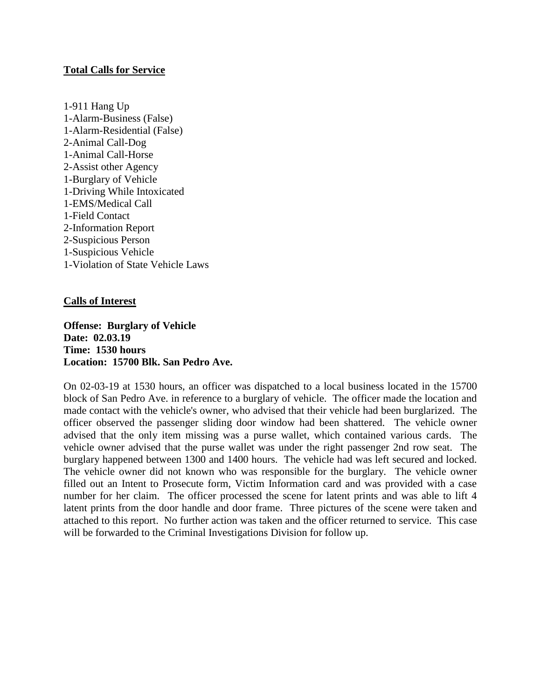# **Total Calls for Service**

1-911 Hang Up 1-Alarm-Business (False) 1-Alarm-Residential (False) 2-Animal Call-Dog 1-Animal Call-Horse 2-Assist other Agency 1-Burglary of Vehicle 1-Driving While Intoxicated 1-EMS/Medical Call 1-Field Contact 2-Information Report 2-Suspicious Person 1-Suspicious Vehicle 1-Violation of State Vehicle Laws

# **Calls of Interest**

**Offense: Burglary of Vehicle Date: 02.03.19 Time: 1530 hours Location: 15700 Blk. San Pedro Ave.**

On 02-03-19 at 1530 hours, an officer was dispatched to a local business located in the 15700 block of San Pedro Ave. in reference to a burglary of vehicle. The officer made the location and made contact with the vehicle's owner, who advised that their vehicle had been burglarized. The officer observed the passenger sliding door window had been shattered. The vehicle owner advised that the only item missing was a purse wallet, which contained various cards. The vehicle owner advised that the purse wallet was under the right passenger 2nd row seat. The burglary happened between 1300 and 1400 hours. The vehicle had was left secured and locked. The vehicle owner did not known who was responsible for the burglary. The vehicle owner filled out an Intent to Prosecute form, Victim Information card and was provided with a case number for her claim. The officer processed the scene for latent prints and was able to lift 4 latent prints from the door handle and door frame. Three pictures of the scene were taken and attached to this report. No further action was taken and the officer returned to service. This case will be forwarded to the Criminal Investigations Division for follow up.